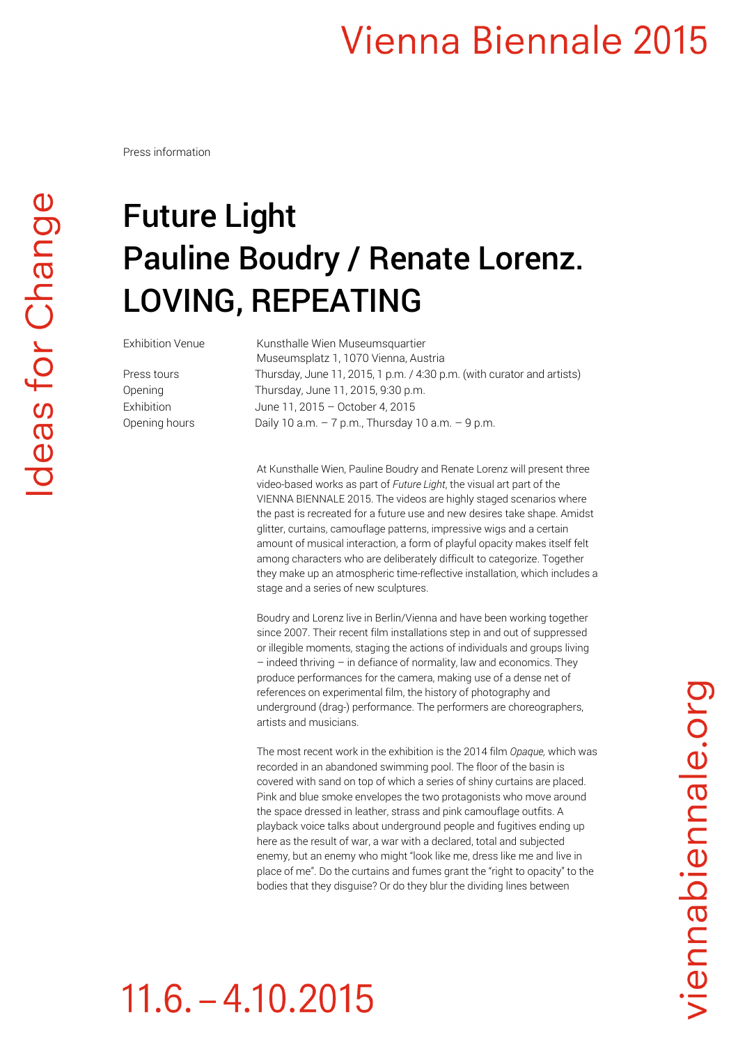#### **Vienna Biennale 2015**

Press information

### Future Light Pauline Boudry / Renate Lorenz. LOVING, REPEATING

Exhibition Venue Kunsthalle Wien Museumsquartier Museumsplatz 1, 1070 Vienna, Austria Press tours Thursday, June 11, 2015, 1 p.m. / 4:30 p.m. (with curator and artists) Opening Thursday, June 11, 2015, 9:30 p.m. Exhibition June 11, 2015 – October 4, 2015 Opening hours Daily 10 a.m. - 7 p.m., Thursday 10 a.m. - 9 p.m.

> At Kunsthalle Wien, Pauline Boudry and Renate Lorenz will present three video-based works as part of *Future Light*, the visual art part of the VIENNA BIENNALE 2015. The videos are highly staged scenarios where the past is recreated for a future use and new desires take shape. Amidst glitter, curtains, camouflage patterns, impressive wigs and a certain amount of musical interaction, a form of playful opacity makes itself felt among characters who are deliberately difficult to categorize. Together they make up an atmospheric time-reflective installation, which includes a stage and a series of new sculptures.

Boudry and Lorenz live in Berlin/Vienna and have been working together since 2007. Their recent film installations step in and out of suppressed or illegible moments, staging the actions of individuals and groups living – indeed thriving – in defiance of normality, law and economics. They produce performances for the camera, making use of a dense net of references on experimental film, the history of photography and underground (drag-) performance. The performers are choreographers, artists and musicians.

The most recent work in the exhibition is the 2014 film *Opaque,* which was recorded in an abandoned swimming pool. The floor of the basin is covered with sand on top of which a series of shiny curtains are placed. Pink and blue smoke envelopes the two protagonists who move around the space dressed in leather, strass and pink camouflage outfits. A playback voice talks about underground people and fugitives ending up here as the result of war, a war with a declared, total and subjected enemy, but an enemy who might "look like me, dress like me and live in place of me". Do the curtains and fumes grant the "right to opacity" to the bodies that they disguise? Or do they blur the dividing lines between

# $11.6 - 4.10.2015$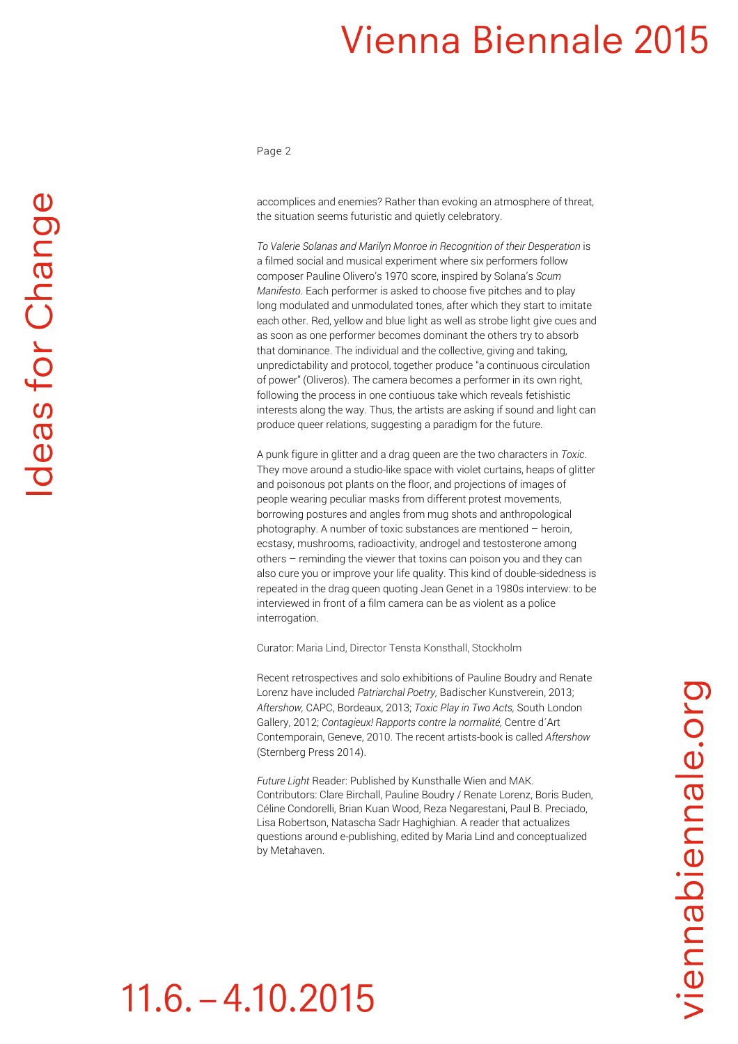#### **Vienna Biennale 2015**

Page 2

accomplices and enemies? Rather than evoking an atmosphere of threat, the situation seems futuristic and quietly celebratory.

*To Valerie Solanas and Marilyn Monroe in Recognition of their Desperation* is a filmed social and musical experiment where six performers follow composer Pauline Olivero's 1970 score, inspired by Solana's *Scum Manifesto*. Each performer is asked to choose five pitches and to play long modulated and unmodulated tones, after which they start to imitate each other. Red, yellow and blue light as well as strobe light give cues and as soon as one performer becomes dominant the others try to absorb that dominance. The individual and the collective, giving and taking, unpredictability and protocol, together produce "a continuous circulation of power" (Oliveros). The camera becomes a performer in its own right, following the process in one contiuous take which reveals fetishistic interests along the way. Thus, the artists are asking if sound and light can produce queer relations, suggesting a paradigm for the future.

A punk figure in glitter and a drag queen are the two characters in *Toxic*. They move around a studio-like space with violet curtains, heaps of glitter and poisonous pot plants on the floor, and projections of images of people wearing peculiar masks from different protest movements, borrowing postures and angles from mug shots and anthropological photography. A number of toxic substances are mentioned – heroin, ecstasy, mushrooms, radioactivity, androgel and testosterone among others – reminding the viewer that toxins can poison you and they can also cure you or improve your life quality. This kind of double-sidedness is repeated in the drag queen quoting Jean Genet in a 1980s interview: to be interviewed in front of a film camera can be as violent as a police interrogation.

Curator: Maria Lind, Director Tensta Konsthall, Stockholm

Recent retrospectives and solo exhibitions of Pauline Boudry and Renate Lorenz have included *Patriarchal Poetry,* Badischer Kunstverein, 2013; *Aftershow,* CAPC, Bordeaux, 2013; *Toxic Play in Two Acts,* South London Gallery, 2012; *Contagieux! Rapports contre la normalité,* Centre d´Art Contemporain, Geneve, 2010. The recent artists-book is called *Aftershow* (Sternberg Press 2014).

*Future Light* Reader: Published by Kunsthalle Wien and MAK. Contributors: Clare Birchall, Pauline Boudry / Renate Lorenz, Boris Buden, Céline Condorelli, Brian Kuan Wood, Reza Negarestani, Paul B. Preciado, Lisa Robertson, Natascha Sadr Haghighian. A reader that actualizes questions around e-publishing, edited by Maria Lind and conceptualized by Metahaven.

# $11.6 - 4.10.2015$